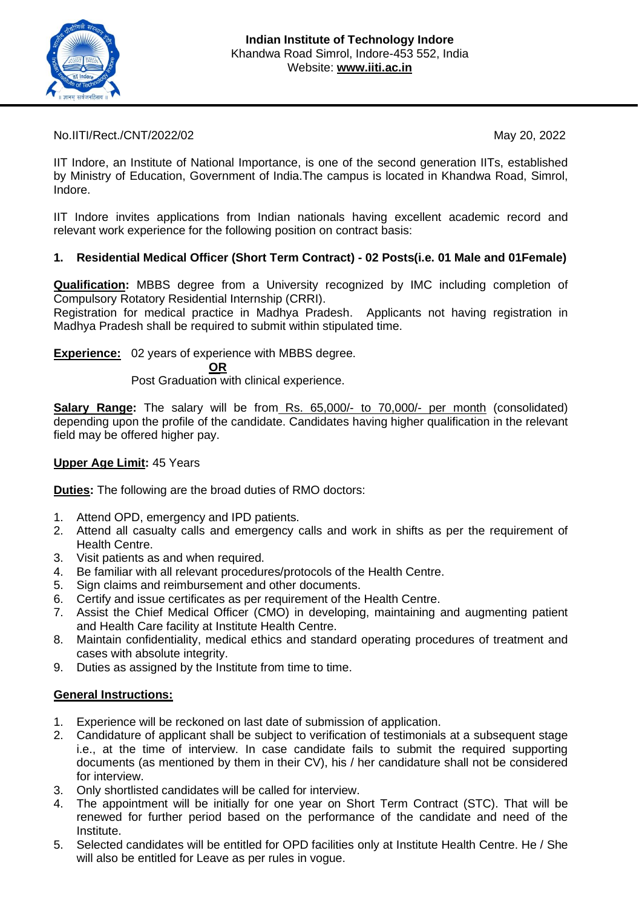

No.IITI/Rect./CNT/2022/02 May 20, 2022

IIT Indore, an Institute of National Importance, is one of the second generation IITs, established by Ministry of Education, Government of India.The campus is located in Khandwa Road, Simrol, Indore.

IIT Indore invites applications from Indian nationals having excellent academic record and relevant work experience for the following position on contract basis:

## **1. Residential Medical Officer (Short Term Contract) - 02 Posts(i.e. 01 Male and 01Female)**

**Qualification:** MBBS degree from a University recognized by IMC including completion of Compulsory Rotatory Residential Internship (CRRI).

Registration for medical practice in Madhya Pradesh. Applicants not having registration in Madhya Pradesh shall be required to submit within stipulated time.

**Experience:** 02 years of experience with MBBS degree.

**OR**

Post Graduation with clinical experience.

**Salary Range:** The salary will be from Rs. 65,000/- to 70,000/- per month (consolidated) depending upon the profile of the candidate. Candidates having higher qualification in the relevant field may be offered higher pay.

## **Upper Age Limit:** 45 Years

**Duties:** The following are the broad duties of RMO doctors:

- 1. Attend OPD, emergency and IPD patients.
- 2. Attend all casualty calls and emergency calls and work in shifts as per the requirement of Health Centre.
- 3. Visit patients as and when required.
- 4. Be familiar with all relevant procedures/protocols of the Health Centre.
- 5. Sign claims and reimbursement and other documents.
- 6. Certify and issue certificates as per requirement of the Health Centre.
- 7. Assist the Chief Medical Officer (CMO) in developing, maintaining and augmenting patient and Health Care facility at Institute Health Centre.
- 8. Maintain confidentiality, medical ethics and standard operating procedures of treatment and cases with absolute integrity.
- 9. Duties as assigned by the Institute from time to time.

## **General Instructions:**

- 1. Experience will be reckoned on last date of submission of application.
- 2. Candidature of applicant shall be subject to verification of testimonials at a subsequent stage i.e., at the time of interview. In case candidate fails to submit the required supporting documents (as mentioned by them in their CV), his / her candidature shall not be considered for interview.
- 3. Only shortlisted candidates will be called for interview.
- 4. The appointment will be initially for one year on Short Term Contract (STC). That will be renewed for further period based on the performance of the candidate and need of the Institute.
- 5. Selected candidates will be entitled for OPD facilities only at Institute Health Centre. He / She will also be entitled for Leave as per rules in vogue.